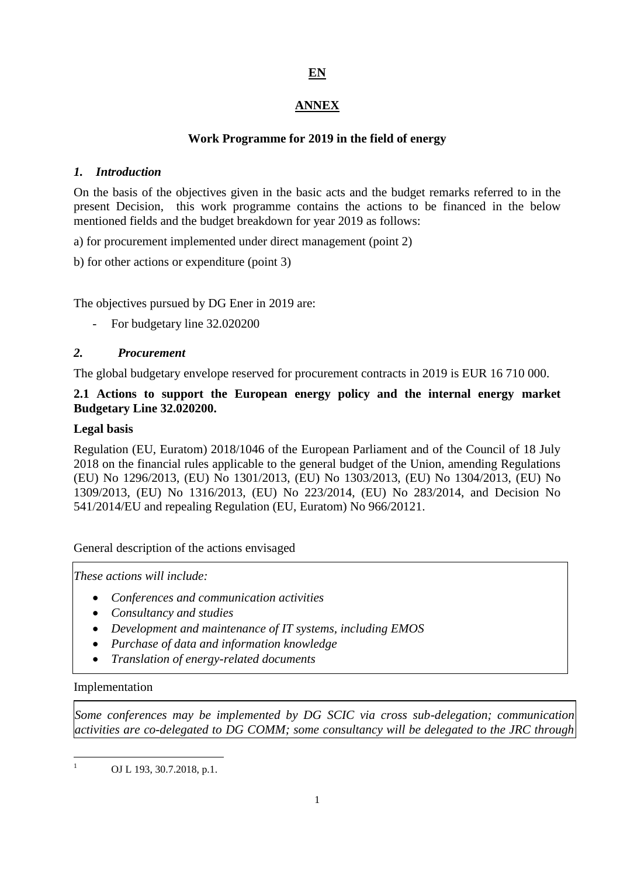# **EN**

# **ANNEX**

# **Work Programme for 2019 in the field of energy**

# *1. Introduction*

On the basis of the objectives given in the basic acts and the budget remarks referred to in the present Decision, this work programme contains the actions to be financed in the below mentioned fields and the budget breakdown for year 2019 as follows:

a) for procurement implemented under direct management (point 2)

b) for other actions or expenditure (point 3)

The objectives pursued by DG Ener in 2019 are:

For budgetary line 32.020200

# *2. Procurement*

The global budgetary envelope reserved for procurement contracts in 2019 is EUR 16 710 000.

# **2.1 Actions to support the European energy policy and the internal energy market Budgetary Line 32.020200.**

# **Legal basis**

Regulation (EU, Euratom) 2018/1046 of the European Parliament and of the Council of 18 July 2018 on the financial rules applicable to the general budget of the Union, amending Regulations (EU) No 1296/2013, (EU) No 1301/2013, (EU) No 1303/2013, (EU) No 1304/2013, (EU) No 1309/2013, (EU) No 1316/2013, (EU) No 223/2014, (EU) No 283/2014, and Decision No 541/2014/EU and repealing Regulation (EU, Euratom) No 966/20121.

General description of the actions envisaged

*These actions will include:*

- *Conferences and communication activities*
- *Consultancy and studies*
- *Development and maintenance of IT systems, including EMOS*
- *Purchase of data and information knowledge*
- *Translation of energy-related documents*

### Implementation

1

*Some conferences may be implemented by DG SCIC via cross sub-delegation; communication activities are co-delegated to DG COMM; some consultancy will be delegated to the JRC through* 

1 OJ L 193, 30.7.2018, p.1.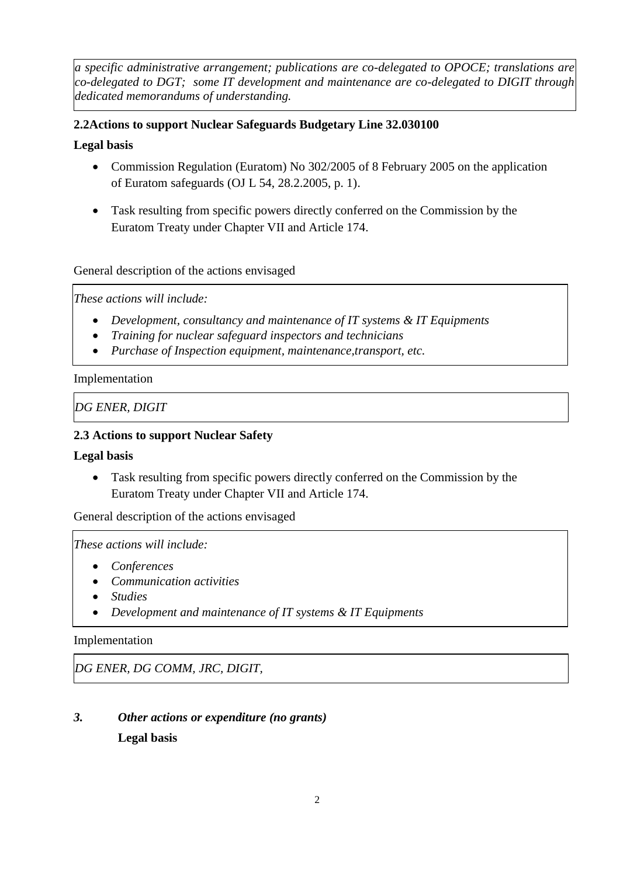*a specific administrative arrangement; publications are co-delegated to OPOCE; translations are co-delegated to DGT; some IT development and maintenance are co-delegated to DIGIT through dedicated memorandums of understanding.*

# **2.2Actions to support Nuclear Safeguards Budgetary Line 32.030100**

# **Legal basis**

- Commission Regulation (Euratom) No 302/2005 of 8 February 2005 on the application of Euratom safeguards (OJ L 54, 28.2.2005, p. 1).
- Task resulting from specific powers directly conferred on the Commission by the Euratom Treaty under Chapter VII and Article 174.

# General description of the actions envisaged

*These actions will include:*

- *Development, consultancy and maintenance of IT systems & IT Equipments*
- *Training for nuclear safeguard inspectors and technicians*
- *Purchase of Inspection equipment, maintenance,transport, etc.*

### Implementation

*DG ENER, DIGIT* 

# **2.3 Actions to support Nuclear Safety**

### **Legal basis**

 Task resulting from specific powers directly conferred on the Commission by the Euratom Treaty under Chapter VII and Article 174.

General description of the actions envisaged

*These actions will include:*

- *Conferences*
- *Communication activities*
- *Studies*
- *Development and maintenance of IT systems & IT Equipments*

### Implementation

*DG ENER, DG COMM, JRC, DIGIT,* 

# *3. Other actions or expenditure (no grants)* **Legal basis**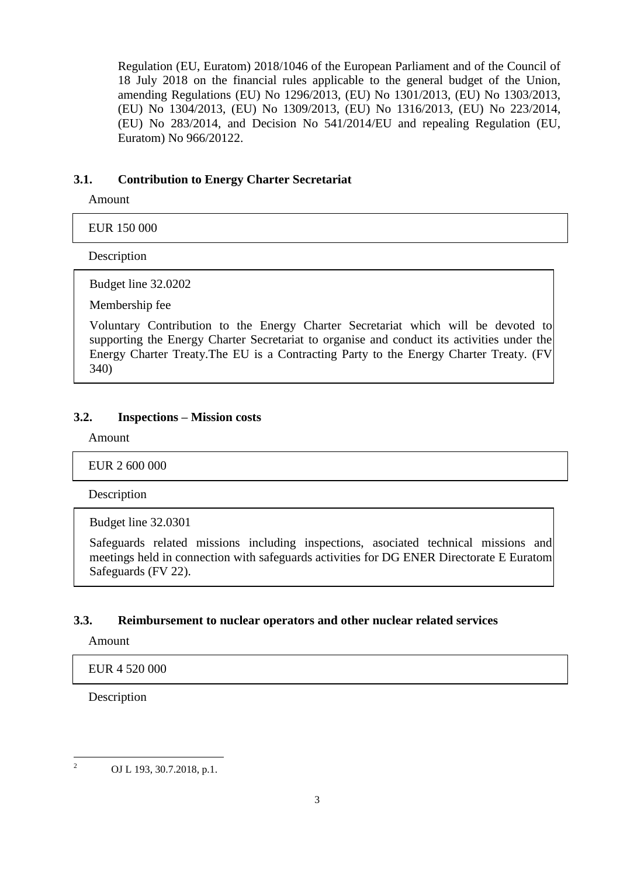Regulation (EU, Euratom) 2018/1046 of the European Parliament and of the Council of 18 July 2018 on the financial rules applicable to the general budget of the Union, amending Regulations (EU) No 1296/2013, (EU) No 1301/2013, (EU) No 1303/2013, (EU) No 1304/2013, (EU) No 1309/2013, (EU) No 1316/2013, (EU) No 223/2014, (EU) No 283/2014, and Decision No 541/2014/EU and repealing Regulation (EU, Euratom) No 966/20122.

### **3.1. Contribution to Energy Charter Secretariat**

Amount

EUR 150 000

Description

Budget line 32.0202

Membership fee

Voluntary Contribution to the Energy Charter Secretariat which will be devoted to supporting the Energy Charter Secretariat to organise and conduct its activities under the Energy Charter Treaty.The EU is a Contracting Party to the Energy Charter Treaty. (FV 340)

#### **3.2. Inspections – Mission costs**

Amount

EUR 2 600 000

Description

Budget line 32.0301

Safeguards related missions including inspections, asociated technical missions and meetings held in connection with safeguards activities for DG ENER Directorate E Euratom Safeguards (FV 22).

#### **3.3. Reimbursement to nuclear operators and other nuclear related services**

Amount

EUR 4 520 000

Description

 $\frac{1}{2}$ OJ L 193, 30.7.2018, p.1.